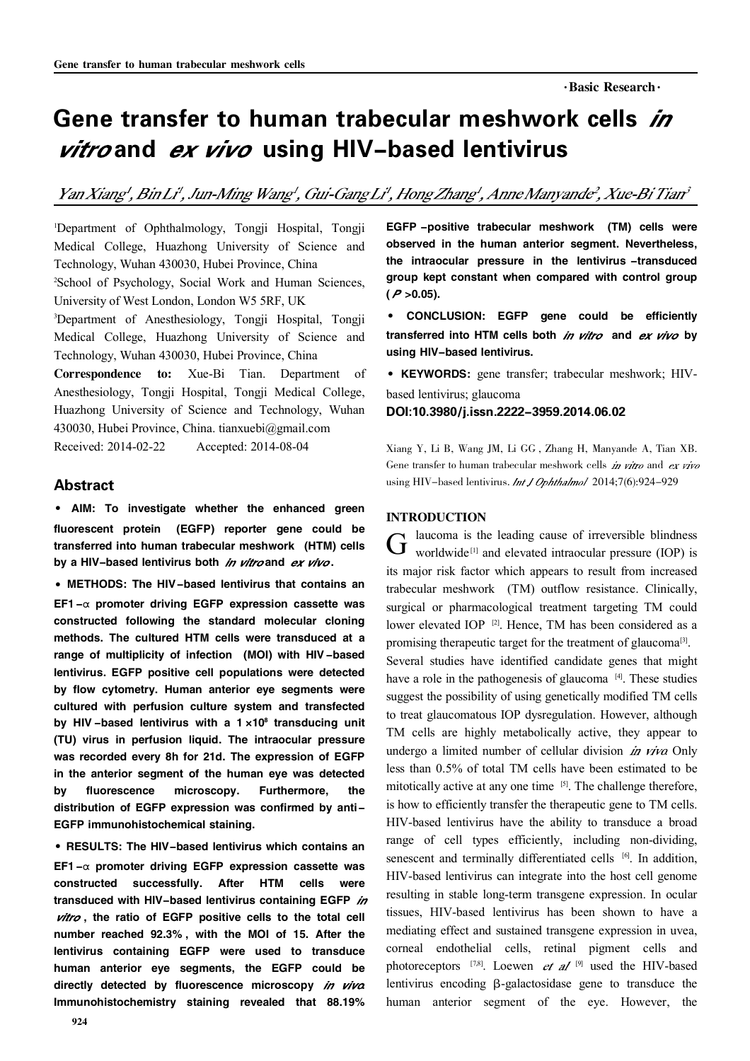# Gene transfer to human trabecular meshwork cells *in* vitroand ex vivo using HIV-based lentivirus

Yan Xiang', Bin Li', Jun-Ming Wang', Gui-Gang Li', Hong Zhang', Anne Manyande', Xue-Bi Tian'

<sup>1</sup>Department of Ophthalmology, Tongji Hospital, Tongji Medical College, Huazhong University of Science and Technology, Wuhan 430030, Hubei Province, China

<sup>2</sup>School of Psychology, Social Work and Human Sciences, University of West London, London W5 5RF, UK

<sup>3</sup>Department of Anesthesiology, Tongji Hospital, Tongji Medical College, Huazhong University of Science and Technology, Wuhan 430030, Hubei Province, China

Correspondence to: Xue-Bi Tian. Department of Anesthesiology, Tongji Hospital, Tongji Medical College, Huazhong University of Science and Technology, Wuhan 430030, Hubei Province, China. tianxuebi@gmail.com Received: 2014-02-22 Accepted: 2014-08-04

# Abstract

· AIM: To investigate whether the enhanced green fluorescent protein (EGFP) reporter gene could be transferred into human trabecular meshwork (HTM) cells by a HIV-based lentivirus both in vitro and ex vivo.

·METHODS: The HIV-based lentivirus that contains an EF1 - $\alpha$  promoter driving EGFP expression cassette was constructed following the standard molecular cloning methods. The cultured HTM cells were transduced at a range of multiplicity of infection (MOI) with HIV -based lentivirus. EGFP positive cell populations were detected by flow cytometry. Human anterior eye segments were cultured with perfusion culture system and transfected by HIV-based lentivirus with a  $1 \times 10^8$  transducing unit (TU) virus in perfusion liquid. The intraocular pressure was recorded every 8h for 21d. The expression of EGFP in the anterior segment of the human eye was detected by fluorescence microscopy. Furthermore, the distribution of EGFP expression was confirmed by anti-EGFP immunohistochemical staining.

·RESULTS: The HIV-based lentivirus which contains an EF1 - $\alpha$  promoter driving EGFP expression cassette was constructed successfully. After HTM cells were transduced with HIV-based lentivirus containing EGFP in vitro, the ratio of EGFP positive cells to the total cell number reached 92.3% , with the MOI of 15. After the lentivirus containing EGFP were used to transduce human anterior eye segments, the EGFP could be directly detected by fluorescence microscopy in viva Immunohistochemistry staining revealed that 88.19%

EGFP -positive trabecular meshwork (TM) cells were observed in the human anterior segment. Nevertheless, the intraocular pressure in the lentivirus -transduced group kept constant when compared with control group  $(P > 0.05)$ .

· CONCLUSION: EGFP gene could be efficiently transferred into HTM cells both in vitro and ex vivo by using HIV-based lentivirus.

·KEYWORDS: gene transfer; trabecular meshwork; HIV-

based lentivirus; glaucoma DOI:10.3980/j.issn.2222-3959.2014.06.02

Xiang Y, Li B, Wang JM, Li GG , Zhang H, Manyande A, Tian XB. Gene transfer to human trabecular meshwork cells in vitro and  $ex$  vivo using HIV-based lentivirus. *Int.* J Ophthalmol 2014;7(6):924-929

### INTRODUCTION

 $G$  laucoma is the leading cause of irreversible blindness<br>worldwide<sup>[1]</sup> and elevated intraocular pressure (IOP) is laucoma is the leading cause of irreversible blindness its major risk factor which appears to result from increased trabecular meshwork (TM) outflow resistance. Clinically, surgical or pharmacological treatment targeting TM could lower elevated IOP<sup>[2]</sup>. Hence, TM has been considered as a promising therapeutic target for the treatment of glaucoma<sup>[3]</sup>. Several studies have identified candidate genes that might have a role in the pathogenesis of glaucoma<sup>[4]</sup>. These studies suggest the possibility of using genetically modified TM cells to treat glaucomatous IOP dysregulation. However, although TM cells are highly metabolically active, they appear to undergo a limited number of cellular division  $\dot{m}$  viva Only less than 0.5% of total TM cells have been estimated to be mitotically active at any one time <sup>[5]</sup>. The challenge therefore, is how to efficiently transfer the therapeutic gene to TM cells. HIV-based lentivirus have the ability to transduce a broad range of cell types efficiently, including non-dividing, senescent and terminally differentiated cells [6]. In addition, HIV-based lentivirus can integrate into the host cell genome resulting in stable long-term transgene expression. In ocular tissues, HIV-based lentivirus has been shown to have a mediating effect and sustained transgene expression in uvea, corneal endothelial cells, retinal pigment cells and photoreceptors  $^{[7,8]}$ . Loewen *et al* <sup>[9]</sup> used the HIV-based lentivirus encoding β-galactosidase gene to transduce the human anterior segment of the eye. However, the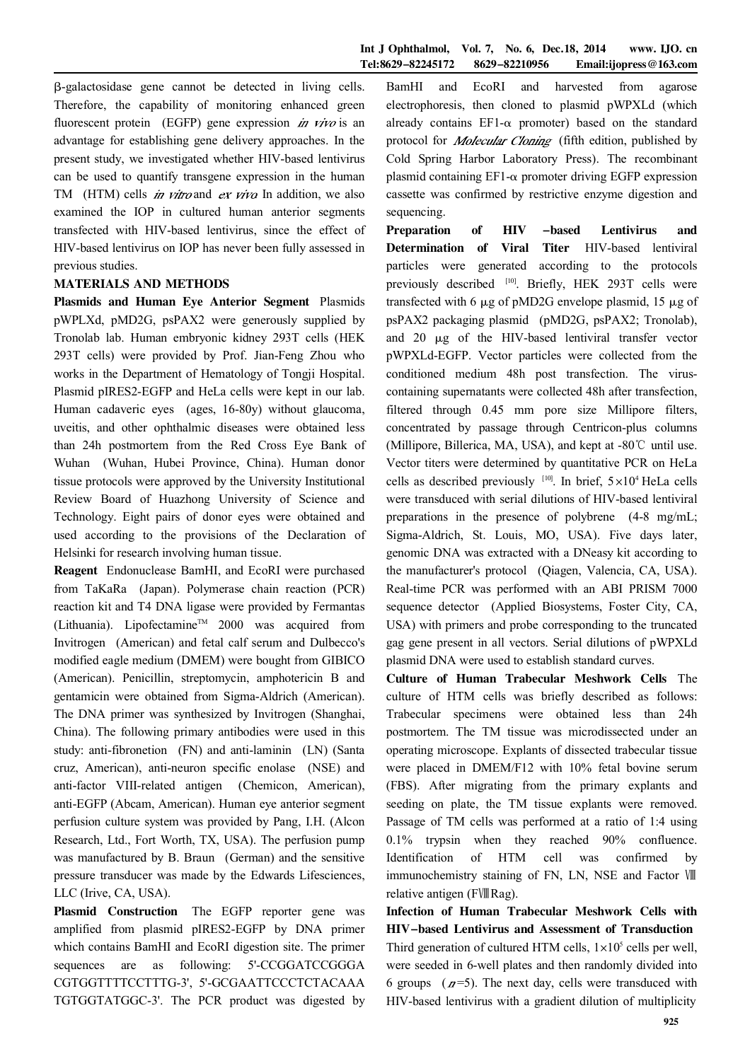茁-galactosidase gene cannot be detected in living cells. Therefore, the capability of monitoring enhanced green fluorescent protein (EGFP) gene expression in vivo is an advantage for establishing gene delivery approaches. In the present study, we investigated whether HIV-based lentivirus can be used to quantify transgene expression in the human TM (HTM) cells *in vitro* and *ex viva* In addition, we also examined the IOP in cultured human anterior segments transfected with HIV-based lentivirus, since the effect of HIV-based lentivirus on IOP has never been fully assessed in previous studies.

# MATERIALS AND METHODS

Plasmids and Human Eye Anterior Segment Plasmids pWPLXd, pMD2G, psPAX2 were generously supplied by Tronolab lab. Human embryonic kidney 293T cells (HEK 293T cells) were provided by Prof. Jian-Feng Zhou who works in the Department of Hematology of Tongji Hospital. Plasmid pIRES2-EGFP and HeLa cells were kept in our lab. Human cadaveric eyes (ages, 16-80y) without glaucoma, uveitis, and other ophthalmic diseases were obtained less than 24h postmortem from the Red Cross Eye Bank of Wuhan (Wuhan, Hubei Province, China). Human donor tissue protocols were approved by the University Institutional Review Board of Huazhong University of Science and Technology. Eight pairs of donor eyes were obtained and used according to the provisions of the Declaration of Helsinki for research involving human tissue.

Reagent Endonuclease BamHI, and EcoRI were purchased from TaKaRa (Japan). Polymerase chain reaction (PCR) reaction kit and T4 DNA ligase were provided by Fermantas (Lithuania). Lipofectamine<sup>TM</sup> 2000 was acquired from Invitrogen (American) and fetal calf serum and Dulbecco's modified eagle medium (DMEM) were bought from GIBICO (American). Penicillin, streptomycin, amphotericin B and gentamicin were obtained from Sigma-Aldrich (American). The DNA primer was synthesized by Invitrogen (Shanghai, China). The following primary antibodies were used in this study: anti-fibronetion (FN) and anti-laminin (LN) (Santa cruz, American), anti-neuron specific enolase (NSE) and anti-factor VIII-related antigen (Chemicon, American), anti-EGFP (Abcam, American). Human eye anterior segment perfusion culture system was provided by Pang, I.H. (Alcon Research, Ltd., Fort Worth, TX, USA). The perfusion pump was manufactured by B. Braun (German) and the sensitive pressure transducer was made by the Edwards Lifesciences, LLC (Irive, CA, USA).

Plasmid Construction The EGFP reporter gene was amplified from plasmid pIRES2-EGFP by DNA primer which contains BamHI and EcoRI digestion site. The primer sequences are as following: 5'-CCGGATCCGGGA CGTGGTTTTCCTTTG-3', 5'-GCGAATTCCCTCTACAAA TGTGGTATGGC-3'. The PCR product was digested by BamHI and EcoRI and harvested from agarose electrophoresis, then cloned to plasmid pWPXLd (which already contains  $EFL-\alpha$  promoter) based on the standard protocol for *Molecular Cloning* (fifth edition, published by Cold Spring Harbor Laboratory Press). The recombinant plasmid containing  $EFI-\alpha$  promoter driving EGFP expression cassette was confirmed by restrictive enzyme digestion and sequencing.

Preparation of HIV -based Lentivirus and Determination of Viral Titer HIV-based lentiviral particles were generated according to the protocols previously described [10]. Briefly, HEK 293T cells were transfected with 6  $\mu$ g of pMD2G envelope plasmid, 15  $\mu$ g of psPAX2 packaging plasmid (pMD2G, psPAX2; Tronolab), and  $20 \mu g$  of the HIV-based lentiviral transfer vector pWPXLd-EGFP. Vector particles were collected from the conditioned medium 48h post transfection. The viruscontaining supernatants were collected 48h after transfection, filtered through 0.45 mm pore size Millipore filters, concentrated by passage through Centricon-plus columns (Millipore, Billerica, MA, USA), and kept at -80℃ until use. Vector titers were determined by quantitative PCR on HeLa cells as described previously  $[10]$ . In brief,  $5 \times 10^4$  HeLa cells were transduced with serial dilutions of HIV-based lentiviral preparations in the presence of polybrene (4-8 mg/mL; Sigma-Aldrich, St. Louis, MO, USA). Five days later, genomic DNA was extracted with a DNeasy kit according to the manufacturer's protocol (Qiagen, Valencia, CA, USA). Real-time PCR was performed with an ABI PRISM 7000 sequence detector (Applied Biosystems, Foster City, CA, USA) with primers and probe corresponding to the truncated gag gene present in all vectors. Serial dilutions of pWPXLd plasmid DNA were used to establish standard curves.

Culture of Human Trabecular Meshwork Cells The culture of HTM cells was briefly described as follows: Trabecular specimens were obtained less than 24h postmortem. The TM tissue was microdissected under an operating microscope. Explants of dissected trabecular tissue were placed in DMEM/F12 with 10% fetal bovine serum (FBS). After migrating from the primary explants and seeding on plate, the TM tissue explants were removed. Passage of TM cells was performed at a ratio of 1:4 using 0.1% trypsin when they reached 90% confluence. Identification of HTM cell was confirmed by immunochemistry staining of FN, LN, NSE and Factor Ⅷ relative antigen (FⅧRag).

Infection of Human Trabecular Meshwork Cells with HIV-based Lentivirus and Assessment of Transduction Third generation of cultured HTM cells,  $1 \times 10^5$  cells per well, were seeded in 6-well plates and then randomly divided into 6 groups  $(n=5)$ . The next day, cells were transduced with HIV-based lentivirus with a gradient dilution of multiplicity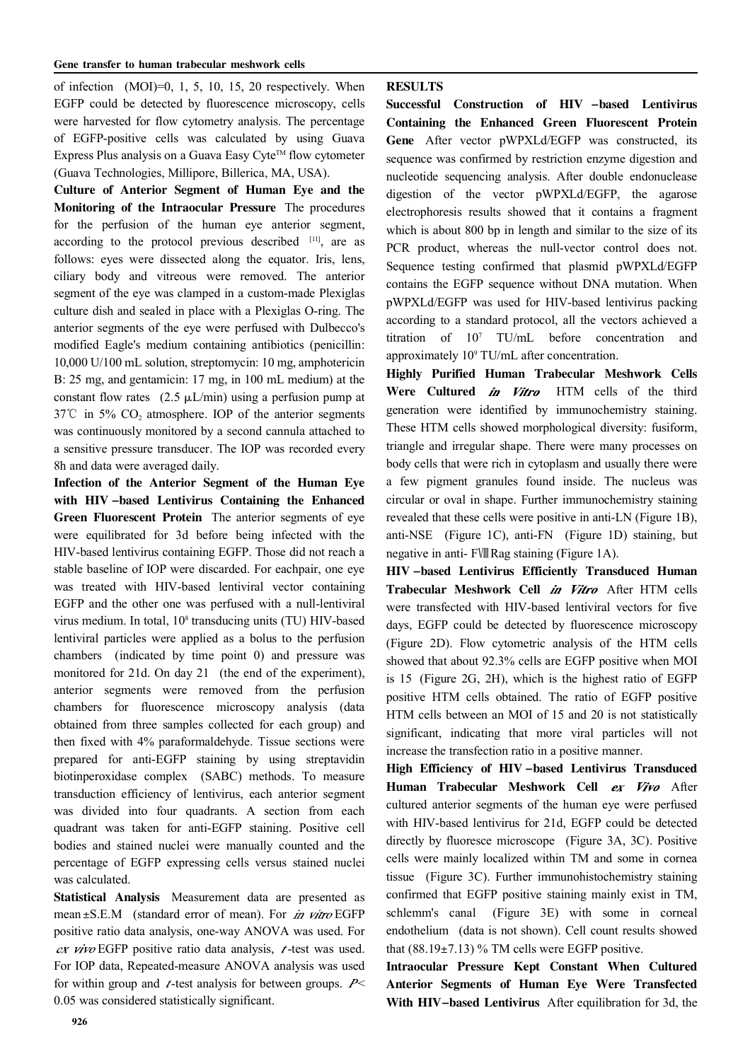of infection  $(MOI)=0, 1, 5, 10, 15, 20$  respectively. When EGFP could be detected by fluorescence microscopy, cells were harvested for flow cytometry analysis. The percentage of EGFP-positive cells was calculated by using Guava Express Plus analysis on a Guava Easy Cyte<sup>TM</sup> flow cytometer (Guava Technologies, Millipore, Billerica, MA, USA).

Culture of Anterior Segment of Human Eye and the Monitoring of the Intraocular Pressure The procedures for the perfusion of the human eye anterior segment, according to the protocol previous described [11], are as follows: eyes were dissected along the equator. Iris, lens, ciliary body and vitreous were removed. The anterior segment of the eye was clamped in a custom-made Plexiglas culture dish and sealed in place with a Plexiglas O-ring. The anterior segments of the eye were perfused with Dulbecco's modified Eagle's medium containing antibiotics (penicillin: 10,000 U/100 mL solution, streptomycin: 10 mg, amphotericin B: 25 mg, and gentamicin: 17 mg, in 100 mL medium) at the constant flow rates  $(2.5 \mu L/min)$  using a perfusion pump at  $37^{\circ}$ C in 5% CO<sub>2</sub> atmosphere. IOP of the anterior segments was continuously monitored by a second cannula attached to a sensitive pressure transducer. The IOP was recorded every 8h and data were averaged daily.

Infection of the Anterior Segment of the Human Eye with HIV -based Lentivirus Containing the Enhanced Green Fluorescent Protein The anterior segments of eye were equilibrated for 3d before being infected with the HIV-based lentivirus containing EGFP. Those did not reach a stable baseline of IOP were discarded. For eachpair, one eye was treated with HIV-based lentiviral vector containing EGFP and the other one was perfused with a null-lentiviral virus medium. In total, 10<sup>8</sup> transducing units (TU) HIV-based lentiviral particles were applied as a bolus to the perfusion chambers (indicated by time point 0) and pressure was monitored for 21d. On day 21 (the end of the experiment), anterior segments were removed from the perfusion chambers for fluorescence microscopy analysis (data obtained from three samples collected for each group) and then fixed with 4% paraformaldehyde. Tissue sections were prepared for anti-EGFP staining by using streptavidin biotinperoxidase complex (SABC) methods. To measure transduction efficiency of lentivirus, each anterior segment was divided into four quadrants. A section from each quadrant was taken for anti-EGFP staining. Positive cell bodies and stained nuclei were manually counted and the percentage of EGFP expressing cells versus stained nuclei was calculated.

Statistical Analysis Measurement data are presented as mean  $\pm$ S.E.M (standard error of mean). For *in vitro* EGFP positive ratio data analysis, one-way ANOVA was used. For  $ex$  vivo EGFP positive ratio data analysis,  $t$ -test was used. For IOP data, Repeated-measure ANOVA analysis was used for within group and  $t$ -test analysis for between groups.  $P<$ 0.05 was considered statistically significant.

#### RESULTS

Successful Construction of HIV -based Lentivirus Containing the Enhanced Green Fluorescent Protein Gene After vector pWPXLd/EGFP was constructed, its sequence was confirmed by restriction enzyme digestion and nucleotide sequencing analysis. After double endonuclease digestion of the vector pWPXLd/EGFP, the agarose electrophoresis results showed that it contains a fragment which is about 800 bp in length and similar to the size of its PCR product, whereas the null-vector control does not. Sequence testing confirmed that plasmid pWPXLd/EGFP contains the EGFP sequence without DNA mutation. When pWPXLd/EGFP was used for HIV-based lentivirus packing according to a standard protocol, all the vectors achieved a titration of 10<sup>7</sup> TU/mL before concentration and approximately 10<sup>9</sup> TU/mL after concentration.

Highly Purified Human Trabecular Meshwork Cells Were Cultured in Vitro HTM cells of the third generation were identified by immunochemistry staining. These HTM cells showed morphological diversity: fusiform, triangle and irregular shape. There were many processes on body cells that were rich in cytoplasm and usually there were a few pigment granules found inside. The nucleus was circular or oval in shape. Further immunochemistry staining revealed that these cells were positive in anti-LN (Figure 1B), anti-NSE (Figure 1C), anti-FN (Figure 1D) staining, but negative in anti- FⅧRag staining (Figure 1A).

HIV -based Lentivirus Efficiently Transduced Human Trabecular Meshwork Cell in Vitro After HTM cells were transfected with HIV-based lentiviral vectors for five days, EGFP could be detected by fluorescence microscopy (Figure 2D). Flow cytometric analysis of the HTM cells showed that about 92.3% cells are EGFP positive when MOI is 15 (Figure 2G, 2H), which is the highest ratio of EGFP positive HTM cells obtained. The ratio of EGFP positive HTM cells between an MOI of 15 and 20 is not statistically significant, indicating that more viral particles will not increase the transfection ratio in a positive manner.

High Efficiency of HIV -based Lentivirus Transduced Human Trabecular Meshwork Cell ex Vivo After cultured anterior segments of the human eye were perfused with HIV-based lentivirus for 21d, EGFP could be detected directly by fluoresce microscope (Figure 3A, 3C). Positive cells were mainly localized within TM and some in cornea tissue (Figure 3C). Further immunohistochemistry staining confirmed that EGFP positive staining mainly exist in TM, schlemm's canal (Figure 3E) with some in corneal endothelium (data is not shown). Cell count results showed that  $(88.19 \pm 7.13)$  % TM cells were EGFP positive.

Intraocular Pressure Kept Constant When Cultured Anterior Segments of Human Eye Were Transfected With HIV-based Lentivirus After equilibration for 3d, the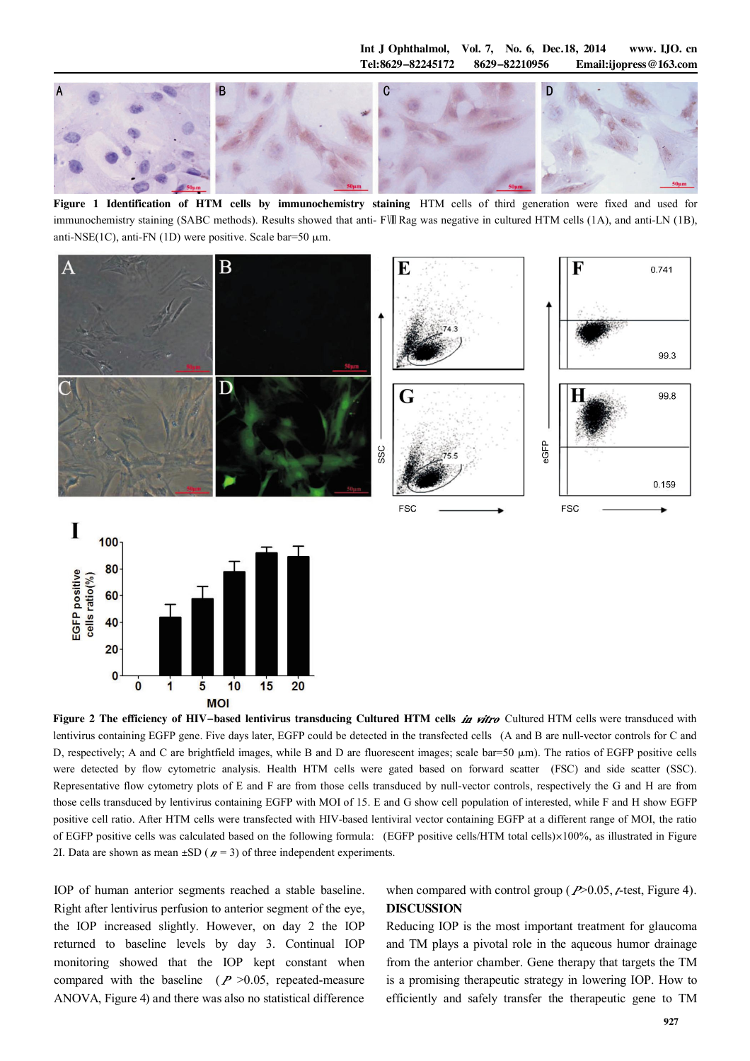Int J Ophthalmol, Vol. 7, No. 6, Dec.18, 2014 www. IJO. cn Tel:8629-82245172 8629-82210956 Email:ijopress@163.com



Figure 1 Identification of HTM cells by immunochemistry staining HTM cells of third generation were fixed and used for immunochemistry staining (SABC methods). Results showed that anti- FⅧ Rag was negative in cultured HTM cells (1A), and anti-LN (1B), anti-NSE(1C), anti-FN (1D) were positive. Scale bar=50  $\mu$ m.





Figure 2 The efficiency of HIV-based lentivirus transducing Cultured HTM cells in vitro Cultured HTM cells were transduced with lentivirus containing EGFP gene. Five days later, EGFP could be detected in the transfected cells (A and B are null-vector controls for C and D, respectively; A and C are brightfield images, while B and D are fluorescent images; scale bar=50  $\mu$ m). The ratios of EGFP positive cells were detected by flow cytometric analysis. Health HTM cells were gated based on forward scatter (FSC) and side scatter (SSC). Representative flow cytometry plots of E and F are from those cells transduced by null-vector controls, respectively the G and H are from those cells transduced by lentivirus containing EGFP with MOI of 15. E and G show cell population of interested, while F and H show EGFP positive cell ratio. After HTM cells were transfected with HIV-based lentiviral vector containing EGFP at a different range of MOI, the ratio of EGFP positive cells was calculated based on the following formula: (EGFP positive cells/HTM total cells)×100%, as illustrated in Figure 2I. Data are shown as mean  $\pm SD$  ( $n = 3$ ) of three independent experiments.

IOP of human anterior segments reached a stable baseline. Right after lentivirus perfusion to anterior segment of the eye, the IOP increased slightly. However, on day 2 the IOP returned to baseline levels by day 3. Continual IOP monitoring showed that the IOP kept constant when compared with the baseline  $(P > 0.05$ , repeated-measure ANOVA, Figure 4) and there was also no statistical difference

when compared with control group ( $P > 0.05$ , t-test, Figure 4). DISCUSSION

Reducing IOP is the most important treatment for glaucoma and TM plays a pivotal role in the aqueous humor drainage from the anterior chamber. Gene therapy that targets the TM is a promising therapeutic strategy in lowering IOP. How to efficiently and safely transfer the therapeutic gene to TM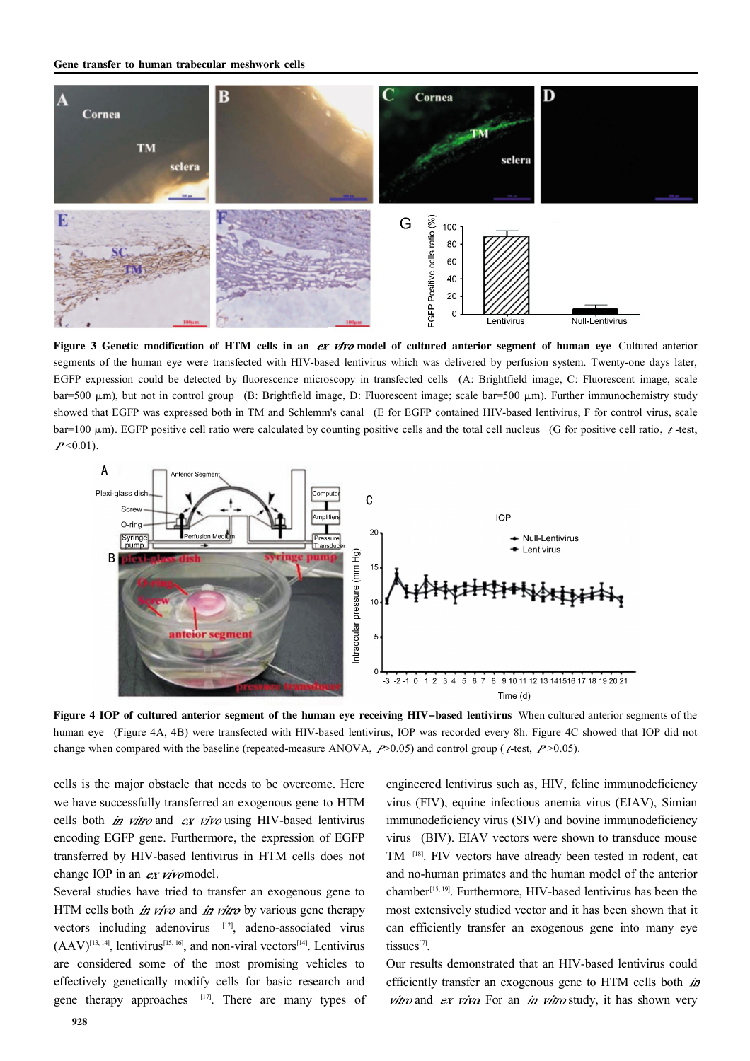

Figure 3 Genetic modification of HTM cells in an ex vivo model of cultured anterior segment of human eye Cultured anterior segments of the human eye were transfected with HIV-based lentivirus which was delivered by perfusion system. Twenty-one days later, EGFP expression could be detected by fluorescence microscopy in transfected cells (A: Brightfield image, C: Fluorescent image, scale bar=500  $\mu$ m), but not in control group (B: Brightfield image, D: Fluorescent image; scale bar=500  $\mu$ m). Further immunochemistry study showed that EGFP was expressed both in TM and Schlemm's canal (E for EGFP contained HIV-based lentivirus, F for control virus, scale bar=100  $\mu$ m). EGFP positive cell ratio were calculated by counting positive cells and the total cell nucleus (G for positive cell ratio,  $\ell$ -test,  $P<0.01$ ).



Figure 4 IOP of cultured anterior segment of the human eye receiving HIV-based lentivirus When cultured anterior segments of the human eye (Figure 4A, 4B) were transfected with HIV-based lentivirus, IOP was recorded every 8h. Figure 4C showed that IOP did not change when compared with the baseline (repeated-measure ANOVA,  $P > 0.05$ ) and control group ( $\epsilon$ -test,  $P > 0.05$ ).

cells is the major obstacle that needs to be overcome. Here we have successfully transferred an exogenous gene to HTM cells both  $in$  vitro and ex vivo using HIV-based lentivirus encoding EGFP gene. Furthermore, the expression of EGFP transferred by HIV-based lentivirus in HTM cells does not change IOP in an ex vivomodel.

Several studies have tried to transfer an exogenous gene to HTM cells both *in vivo* and *in vitro* by various gene therapy vectors including adenovirus [12], adeno-associated virus  $(AAV)^{[13, 14]}$ , lentivirus<sup>[15, 16]</sup>, and non-viral vectors<sup>[14]</sup>. Lentivirus are considered some of the most promising vehicles to effectively genetically modify cells for basic research and gene therapy approaches  $[17]$ . There are many types of

engineered lentivirus such as, HIV, feline immunodeficiency virus (FIV), equine infectious anemia virus (EIAV), Simian immunodeficiency virus (SIV) and bovine immunodeficiency virus (BIV). EIAV vectors were shown to transduce mouse TM [18] . FIV vectors have already been tested in rodent, cat and no-human primates and the human model of the anterior chamber<sup>[15, 19]</sup>. Furthermore, HIV-based lentivirus has been the most extensively studied vector and it has been shown that it can efficiently transfer an exogenous gene into many eye tissues<sup>[7]</sup>.

Our results demonstrated that an HIV-based lentivirus could efficiently transfer an exogenous gene to HTM cells both *in* vitro and ex viva For an in vitro study, it has shown very